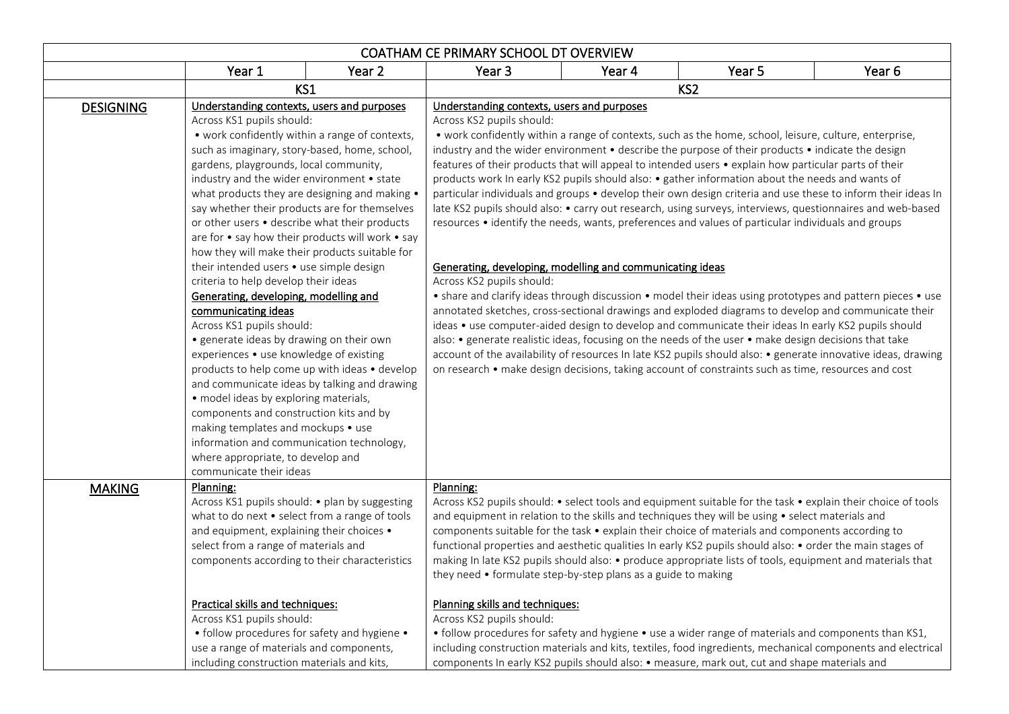| COATHAM CE PRIMARY SCHOOL DT OVERVIEW |                                                                                                                                                                                                                                                                                                                                                                                                                                                                                                                                                                                                                                                                                                                                                                                                                                                                                                                                                                                                                                                                             |        |                                                                                                                                                                                                                                                                                                                                                                                                                                                                                                                                                                                                                                                                                                                                                                                                                                                                                                                                                                                                                                                                                                                                                                                                                                                                                                                                                                                                                                                                                                                                                                                                |                                                                                                                                                                                                                                                                                                                                                                                                                                                                                                                                                                                                                 |        |        |  |
|---------------------------------------|-----------------------------------------------------------------------------------------------------------------------------------------------------------------------------------------------------------------------------------------------------------------------------------------------------------------------------------------------------------------------------------------------------------------------------------------------------------------------------------------------------------------------------------------------------------------------------------------------------------------------------------------------------------------------------------------------------------------------------------------------------------------------------------------------------------------------------------------------------------------------------------------------------------------------------------------------------------------------------------------------------------------------------------------------------------------------------|--------|------------------------------------------------------------------------------------------------------------------------------------------------------------------------------------------------------------------------------------------------------------------------------------------------------------------------------------------------------------------------------------------------------------------------------------------------------------------------------------------------------------------------------------------------------------------------------------------------------------------------------------------------------------------------------------------------------------------------------------------------------------------------------------------------------------------------------------------------------------------------------------------------------------------------------------------------------------------------------------------------------------------------------------------------------------------------------------------------------------------------------------------------------------------------------------------------------------------------------------------------------------------------------------------------------------------------------------------------------------------------------------------------------------------------------------------------------------------------------------------------------------------------------------------------------------------------------------------------|-----------------------------------------------------------------------------------------------------------------------------------------------------------------------------------------------------------------------------------------------------------------------------------------------------------------------------------------------------------------------------------------------------------------------------------------------------------------------------------------------------------------------------------------------------------------------------------------------------------------|--------|--------|--|
|                                       | Year 1                                                                                                                                                                                                                                                                                                                                                                                                                                                                                                                                                                                                                                                                                                                                                                                                                                                                                                                                                                                                                                                                      | Year 2 | Year 3                                                                                                                                                                                                                                                                                                                                                                                                                                                                                                                                                                                                                                                                                                                                                                                                                                                                                                                                                                                                                                                                                                                                                                                                                                                                                                                                                                                                                                                                                                                                                                                         | Year 4                                                                                                                                                                                                                                                                                                                                                                                                                                                                                                                                                                                                          | Year 5 | Year 6 |  |
|                                       | KS1                                                                                                                                                                                                                                                                                                                                                                                                                                                                                                                                                                                                                                                                                                                                                                                                                                                                                                                                                                                                                                                                         |        | KS <sub>2</sub>                                                                                                                                                                                                                                                                                                                                                                                                                                                                                                                                                                                                                                                                                                                                                                                                                                                                                                                                                                                                                                                                                                                                                                                                                                                                                                                                                                                                                                                                                                                                                                                |                                                                                                                                                                                                                                                                                                                                                                                                                                                                                                                                                                                                                 |        |        |  |
| <b>DESIGNING</b>                      | Understanding contexts, users and purposes<br>Across KS1 pupils should:<br>• work confidently within a range of contexts,<br>such as imaginary, story-based, home, school,<br>gardens, playgrounds, local community,<br>industry and the wider environment • state<br>what products they are designing and making .<br>say whether their products are for themselves<br>or other users • describe what their products<br>are for • say how their products will work • say<br>how they will make their products suitable for<br>their intended users • use simple design<br>criteria to help develop their ideas<br>Generating, developing, modelling and<br>communicating ideas<br>Across KS1 pupils should:<br>• generate ideas by drawing on their own<br>experiences • use knowledge of existing<br>products to help come up with ideas • develop<br>and communicate ideas by talking and drawing<br>• model ideas by exploring materials,<br>components and construction kits and by<br>making templates and mockups • use<br>information and communication technology, |        | Understanding contexts, users and purposes<br>Across KS2 pupils should:<br>• work confidently within a range of contexts, such as the home, school, leisure, culture, enterprise,<br>industry and the wider environment • describe the purpose of their products • indicate the design<br>features of their products that will appeal to intended users • explain how particular parts of their<br>products work In early KS2 pupils should also: • gather information about the needs and wants of<br>particular individuals and groups • develop their own design criteria and use these to inform their ideas In<br>late KS2 pupils should also: • carry out research, using surveys, interviews, questionnaires and web-based<br>resources • identify the needs, wants, preferences and values of particular individuals and groups<br>Generating, developing, modelling and communicating ideas<br>Across KS2 pupils should:<br>• share and clarify ideas through discussion • model their ideas using prototypes and pattern pieces • use<br>annotated sketches, cross-sectional drawings and exploded diagrams to develop and communicate their<br>ideas • use computer-aided design to develop and communicate their ideas In early KS2 pupils should<br>also: • generate realistic ideas, focusing on the needs of the user • make design decisions that take<br>account of the availability of resources In late KS2 pupils should also: • generate innovative ideas, drawing<br>on research • make design decisions, taking account of constraints such as time, resources and cost |                                                                                                                                                                                                                                                                                                                                                                                                                                                                                                                                                                                                                 |        |        |  |
| <b>MAKING</b>                         | Planning:<br>Across KS1 pupils should: . plan by suggesting<br>what to do next • select from a range of tools<br>and equipment, explaining their choices .<br>select from a range of materials and<br>components according to their characteristics<br>Practical skills and techniques:                                                                                                                                                                                                                                                                                                                                                                                                                                                                                                                                                                                                                                                                                                                                                                                     |        | Planning:<br>Planning skills and techniques:                                                                                                                                                                                                                                                                                                                                                                                                                                                                                                                                                                                                                                                                                                                                                                                                                                                                                                                                                                                                                                                                                                                                                                                                                                                                                                                                                                                                                                                                                                                                                   | Across KS2 pupils should: • select tools and equipment suitable for the task • explain their choice of tools<br>and equipment in relation to the skills and techniques they will be using • select materials and<br>components suitable for the task • explain their choice of materials and components according to<br>functional properties and aesthetic qualities In early KS2 pupils should also: • order the main stages of<br>making In late KS2 pupils should also: • produce appropriate lists of tools, equipment and materials that<br>they need • formulate step-by-step plans as a guide to making |        |        |  |
|                                       | Across KS1 pupils should:<br>Across KS2 pupils should:<br>• follow procedures for safety and hygiene •<br>• follow procedures for safety and hygiene • use a wider range of materials and components than KS1,<br>use a range of materials and components,<br>including construction materials and kits, textiles, food ingredients, mechanical components and electrical<br>including construction materials and kits,<br>components In early KS2 pupils should also: . measure, mark out, cut and shape materials and                                                                                                                                                                                                                                                                                                                                                                                                                                                                                                                                                     |        |                                                                                                                                                                                                                                                                                                                                                                                                                                                                                                                                                                                                                                                                                                                                                                                                                                                                                                                                                                                                                                                                                                                                                                                                                                                                                                                                                                                                                                                                                                                                                                                                |                                                                                                                                                                                                                                                                                                                                                                                                                                                                                                                                                                                                                 |        |        |  |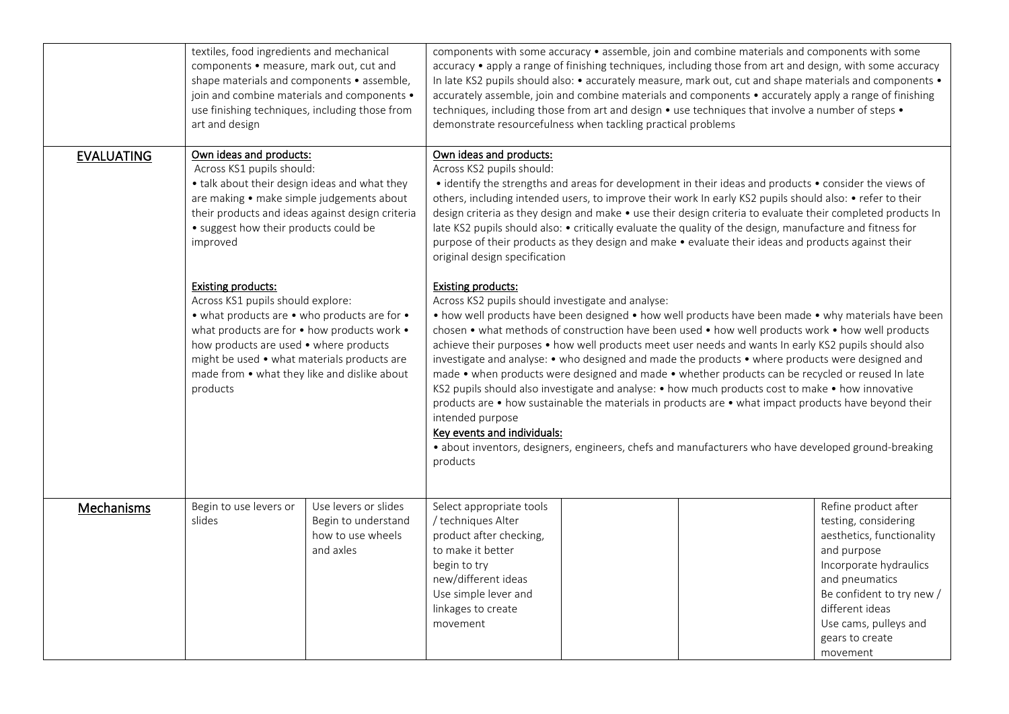|                   | textiles, food ingredients and mechanical<br>components • measure, mark out, cut and<br>shape materials and components • assemble,<br>join and combine materials and components .<br>use finishing techniques, including those from<br>art and design                                                              |                                                                                                                                                                                                                                                                                                                                                                                                                                                                                                                                                                                                                                                                                                                                                                                                                                            | components with some accuracy • assemble, join and combine materials and components with some<br>accuracy • apply a range of finishing techniques, including those from art and design, with some accuracy<br>In late KS2 pupils should also: • accurately measure, mark out, cut and shape materials and components •<br>accurately assemble, join and combine materials and components • accurately apply a range of finishing<br>techniques, including those from art and design • use techniques that involve a number of steps •<br>demonstrate resourcefulness when tackling practical problems                                                                                                                                                                                                                                                                                                                                                                                          |  |  |                                                                                                                                                                                                                                              |  |
|-------------------|--------------------------------------------------------------------------------------------------------------------------------------------------------------------------------------------------------------------------------------------------------------------------------------------------------------------|--------------------------------------------------------------------------------------------------------------------------------------------------------------------------------------------------------------------------------------------------------------------------------------------------------------------------------------------------------------------------------------------------------------------------------------------------------------------------------------------------------------------------------------------------------------------------------------------------------------------------------------------------------------------------------------------------------------------------------------------------------------------------------------------------------------------------------------------|------------------------------------------------------------------------------------------------------------------------------------------------------------------------------------------------------------------------------------------------------------------------------------------------------------------------------------------------------------------------------------------------------------------------------------------------------------------------------------------------------------------------------------------------------------------------------------------------------------------------------------------------------------------------------------------------------------------------------------------------------------------------------------------------------------------------------------------------------------------------------------------------------------------------------------------------------------------------------------------------|--|--|----------------------------------------------------------------------------------------------------------------------------------------------------------------------------------------------------------------------------------------------|--|
| <b>EVALUATING</b> | Own ideas and products:<br>Across KS1 pupils should:<br>improved                                                                                                                                                                                                                                                   | Own ideas and products:<br>Across KS2 pupils should:<br>• talk about their design ideas and what they<br>• identify the strengths and areas for development in their ideas and products • consider the views of<br>are making • make simple judgements about<br>others, including intended users, to improve their work In early KS2 pupils should also: • refer to their<br>their products and ideas against design criteria<br>design criteria as they design and make • use their design criteria to evaluate their completed products In<br>• suggest how their products could be<br>late KS2 pupils should also: • critically evaluate the quality of the design, manufacture and fitness for<br>purpose of their products as they design and make • evaluate their ideas and products against their<br>original design specification |                                                                                                                                                                                                                                                                                                                                                                                                                                                                                                                                                                                                                                                                                                                                                                                                                                                                                                                                                                                                |  |  |                                                                                                                                                                                                                                              |  |
|                   | <b>Existing products:</b><br>Across KS1 pupils should explore:<br>• what products are • who products are for •<br>what products are for • how products work •<br>how products are used • where products<br>might be used • what materials products are<br>made from • what they like and dislike about<br>products |                                                                                                                                                                                                                                                                                                                                                                                                                                                                                                                                                                                                                                                                                                                                                                                                                                            | <b>Existing products:</b><br>Across KS2 pupils should investigate and analyse:<br>• how well products have been designed • how well products have been made • why materials have been<br>chosen • what methods of construction have been used • how well products work • how well products<br>achieve their purposes • how well products meet user needs and wants In early KS2 pupils should also<br>investigate and analyse: • who designed and made the products • where products were designed and<br>made • when products were designed and made • whether products can be recycled or reused In late<br>KS2 pupils should also investigate and analyse: • how much products cost to make • how innovative<br>products are • how sustainable the materials in products are • what impact products have beyond their<br>intended purpose<br>Key events and individuals:<br>· about inventors, designers, engineers, chefs and manufacturers who have developed ground-breaking<br>products |  |  |                                                                                                                                                                                                                                              |  |
| Mechanisms        | Begin to use levers or<br>slides                                                                                                                                                                                                                                                                                   | Use levers or slides<br>Begin to understand<br>how to use wheels<br>and axles                                                                                                                                                                                                                                                                                                                                                                                                                                                                                                                                                                                                                                                                                                                                                              | Select appropriate tools<br>/ techniques Alter<br>product after checking,<br>to make it better<br>begin to try<br>new/different ideas<br>Use simple lever and<br>linkages to create<br>movement                                                                                                                                                                                                                                                                                                                                                                                                                                                                                                                                                                                                                                                                                                                                                                                                |  |  | Refine product after<br>testing, considering<br>aesthetics, functionality<br>and purpose<br>Incorporate hydraulics<br>and pneumatics<br>Be confident to try new /<br>different ideas<br>Use cams, pulleys and<br>gears to create<br>movement |  |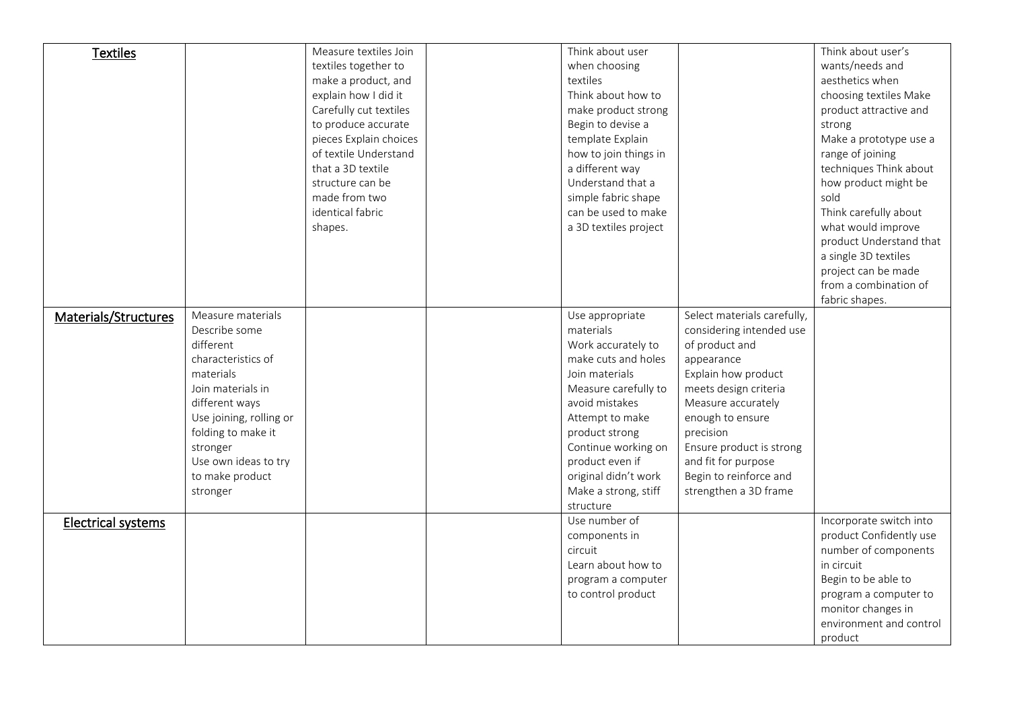| <b>Textiles</b>           |                         | Measure textiles Join  | Think about user      |                             | Think about user's      |
|---------------------------|-------------------------|------------------------|-----------------------|-----------------------------|-------------------------|
|                           |                         | textiles together to   | when choosing         |                             | wants/needs and         |
|                           |                         | make a product, and    | textiles              |                             | aesthetics when         |
|                           |                         | explain how I did it   | Think about how to    |                             | choosing textiles Make  |
|                           |                         | Carefully cut textiles | make product strong   |                             | product attractive and  |
|                           |                         | to produce accurate    | Begin to devise a     |                             | strong                  |
|                           |                         | pieces Explain choices | template Explain      |                             | Make a prototype use a  |
|                           |                         | of textile Understand  | how to join things in |                             | range of joining        |
|                           |                         | that a 3D textile      | a different way       |                             | techniques Think about  |
|                           |                         | structure can be       | Understand that a     |                             | how product might be    |
|                           |                         | made from two          | simple fabric shape   |                             | sold                    |
|                           |                         | identical fabric       | can be used to make   |                             | Think carefully about   |
|                           |                         | shapes.                | a 3D textiles project |                             | what would improve      |
|                           |                         |                        |                       |                             | product Understand that |
|                           |                         |                        |                       |                             | a single 3D textiles    |
|                           |                         |                        |                       |                             | project can be made     |
|                           |                         |                        |                       |                             | from a combination of   |
|                           |                         |                        |                       |                             | fabric shapes.          |
| Materials/Structures      | Measure materials       |                        | Use appropriate       | Select materials carefully, |                         |
|                           | Describe some           |                        | materials             | considering intended use    |                         |
|                           | different               |                        | Work accurately to    | of product and              |                         |
|                           | characteristics of      |                        | make cuts and holes   | appearance                  |                         |
|                           | materials               |                        | Join materials        | Explain how product         |                         |
|                           | Join materials in       |                        | Measure carefully to  | meets design criteria       |                         |
|                           | different ways          |                        | avoid mistakes        | Measure accurately          |                         |
|                           | Use joining, rolling or |                        | Attempt to make       | enough to ensure            |                         |
|                           | folding to make it      |                        | product strong        | precision                   |                         |
|                           | stronger                |                        | Continue working on   | Ensure product is strong    |                         |
|                           | Use own ideas to try    |                        | product even if       | and fit for purpose         |                         |
|                           | to make product         |                        | original didn't work  | Begin to reinforce and      |                         |
|                           | stronger                |                        | Make a strong, stiff  | strengthen a 3D frame       |                         |
|                           |                         |                        | structure             |                             |                         |
| <b>Electrical systems</b> |                         |                        | Use number of         |                             | Incorporate switch into |
|                           |                         |                        | components in         |                             | product Confidently use |
|                           |                         |                        | circuit               |                             | number of components    |
|                           |                         |                        | Learn about how to    |                             | in circuit              |
|                           |                         |                        | program a computer    |                             | Begin to be able to     |
|                           |                         |                        | to control product    |                             | program a computer to   |
|                           |                         |                        |                       |                             | monitor changes in      |
|                           |                         |                        |                       |                             | environment and control |
|                           |                         |                        |                       |                             | product                 |